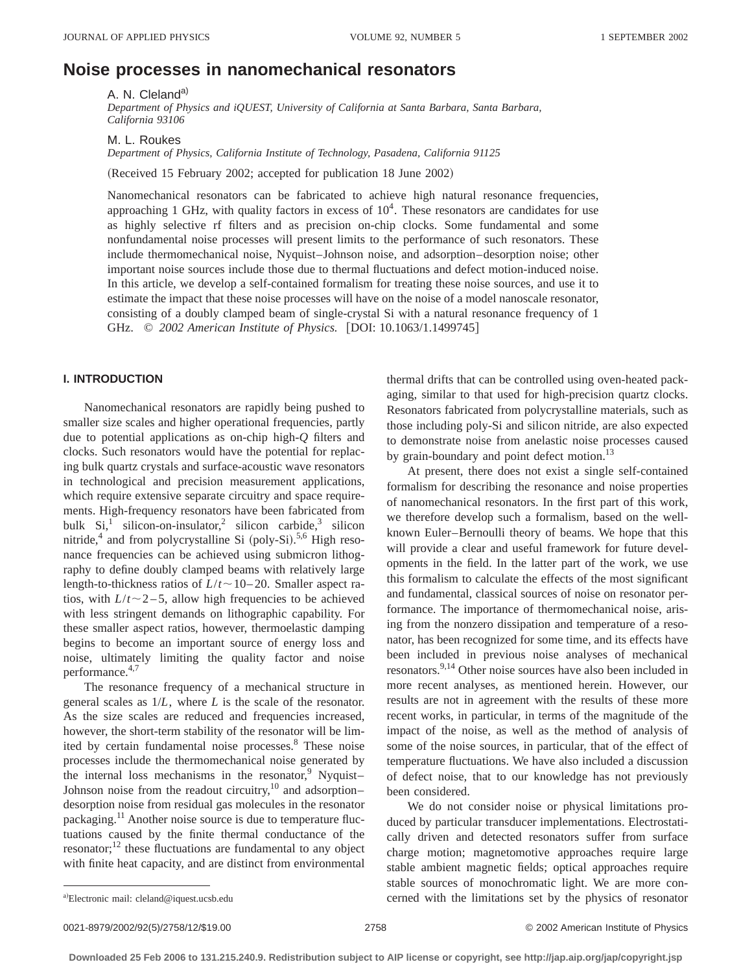# **Noise processes in nanomechanical resonators**

A. N. Cleland<sup>a)</sup>

*Department of Physics and iQUEST, University of California at Santa Barbara, Santa Barbara, California 93106*

M. L. Roukes

*Department of Physics, California Institute of Technology, Pasadena, California 91125*

(Received 15 February 2002; accepted for publication 18 June 2002)

Nanomechanical resonators can be fabricated to achieve high natural resonance frequencies, approaching 1 GHz, with quality factors in excess of  $10<sup>4</sup>$ . These resonators are candidates for use as highly selective rf filters and as precision on-chip clocks. Some fundamental and some nonfundamental noise processes will present limits to the performance of such resonators. These include thermomechanical noise, Nyquist–Johnson noise, and adsorption–desorption noise; other important noise sources include those due to thermal fluctuations and defect motion-induced noise. In this article, we develop a self-contained formalism for treating these noise sources, and use it to estimate the impact that these noise processes will have on the noise of a model nanoscale resonator, consisting of a doubly clamped beam of single-crystal Si with a natural resonance frequency of 1 GHz. © 2002 American Institute of Physics. [DOI: 10.1063/1.1499745]

# **I. INTRODUCTION**

Nanomechanical resonators are rapidly being pushed to smaller size scales and higher operational frequencies, partly due to potential applications as on-chip high-*Q* filters and clocks. Such resonators would have the potential for replacing bulk quartz crystals and surface-acoustic wave resonators in technological and precision measurement applications, which require extensive separate circuitry and space requirements. High-frequency resonators have been fabricated from bulk  $Si<sub>1</sub><sup>1</sup>$  silicon-on-insulator,<sup>2</sup> silicon carbide,<sup>3</sup> silicon nitride,<sup>4</sup> and from polycrystalline Si (poly-Si).<sup>5,6</sup> High resonance frequencies can be achieved using submicron lithography to define doubly clamped beams with relatively large length-to-thickness ratios of  $L/t \sim 10-20$ . Smaller aspect ratios, with  $L/t \sim 2-5$ , allow high frequencies to be achieved with less stringent demands on lithographic capability. For these smaller aspect ratios, however, thermoelastic damping begins to become an important source of energy loss and noise, ultimately limiting the quality factor and noise performance.<sup>4,7</sup>

The resonance frequency of a mechanical structure in general scales as 1/*L*, where *L* is the scale of the resonator. As the size scales are reduced and frequencies increased, however, the short-term stability of the resonator will be limited by certain fundamental noise processes.<sup>8</sup> These noise processes include the thermomechanical noise generated by the internal loss mechanisms in the resonator, $9$  Nyquist-Johnson noise from the readout circuitry, $10$  and adsorption– desorption noise from residual gas molecules in the resonator packaging.<sup>11</sup> Another noise source is due to temperature fluctuations caused by the finite thermal conductance of the resonator;<sup>12</sup> these fluctuations are fundamental to any object with finite heat capacity, and are distinct from environmental thermal drifts that can be controlled using oven-heated packaging, similar to that used for high-precision quartz clocks. Resonators fabricated from polycrystalline materials, such as those including poly-Si and silicon nitride, are also expected to demonstrate noise from anelastic noise processes caused by grain-boundary and point defect motion.<sup>13</sup>

At present, there does not exist a single self-contained formalism for describing the resonance and noise properties of nanomechanical resonators. In the first part of this work, we therefore develop such a formalism, based on the wellknown Euler–Bernoulli theory of beams. We hope that this will provide a clear and useful framework for future developments in the field. In the latter part of the work, we use this formalism to calculate the effects of the most significant and fundamental, classical sources of noise on resonator performance. The importance of thermomechanical noise, arising from the nonzero dissipation and temperature of a resonator, has been recognized for some time, and its effects have been included in previous noise analyses of mechanical resonators.9,14 Other noise sources have also been included in more recent analyses, as mentioned herein. However, our results are not in agreement with the results of these more recent works, in particular, in terms of the magnitude of the impact of the noise, as well as the method of analysis of some of the noise sources, in particular, that of the effect of temperature fluctuations. We have also included a discussion of defect noise, that to our knowledge has not previously been considered.

We do not consider noise or physical limitations produced by particular transducer implementations. Electrostatically driven and detected resonators suffer from surface charge motion; magnetomotive approaches require large stable ambient magnetic fields; optical approaches require stable sources of monochromatic light. We are more concerned with the limitations set by the physics of resonator

0021-8979/2002/92(5)/2758/12/\$19.00 © 2002 American Institute of Physics 2758

a)Electronic mail: cleland@iquest.ucsb.edu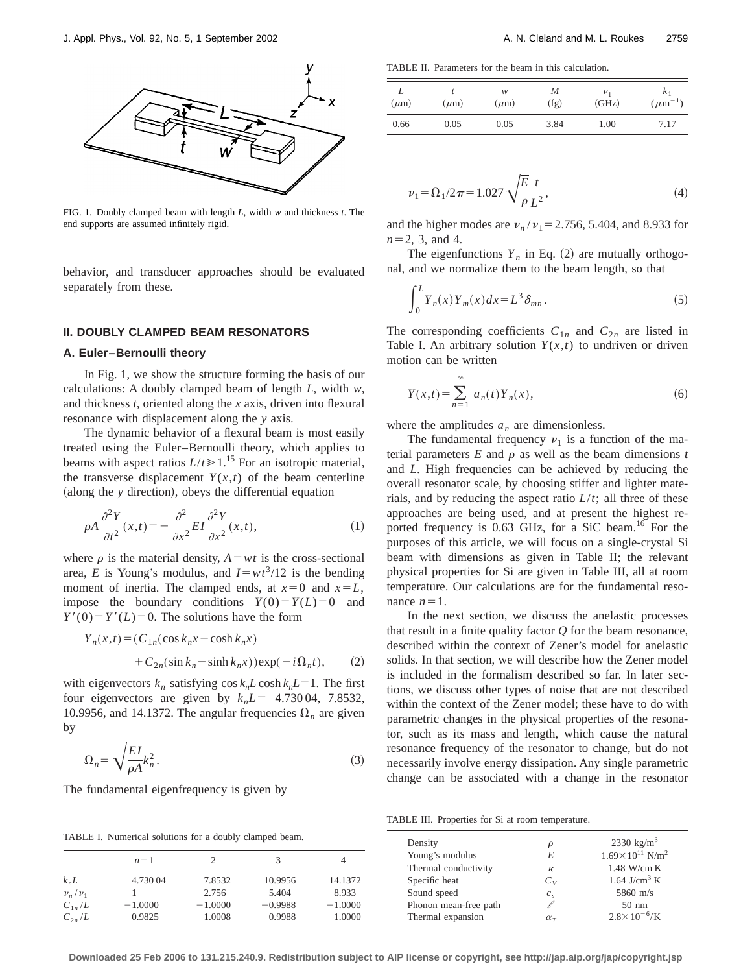

FIG. 1. Doubly clamped beam with length *L*, width *w* and thickness *t*. The end supports are assumed infinitely rigid.

behavior, and transducer approaches should be evaluated separately from these.

## **II. DOUBLY CLAMPED BEAM RESONATORS**

#### **A. Euler–Bernoulli theory**

In Fig. 1, we show the structure forming the basis of our calculations: A doubly clamped beam of length *L*, width *w*, and thickness *t*, oriented along the *x* axis, driven into flexural resonance with displacement along the *y* axis.

The dynamic behavior of a flexural beam is most easily treated using the Euler–Bernoulli theory, which applies to beams with aspect ratios  $L/t \ge 1$ .<sup>15</sup> For an isotropic material, the transverse displacement  $Y(x,t)$  of the beam centerline (along the *y* direction), obeys the differential equation

$$
\rho A \frac{\partial^2 Y}{\partial t^2}(x,t) = -\frac{\partial^2}{\partial x^2} EI \frac{\partial^2 Y}{\partial x^2}(x,t),\tag{1}
$$

where  $\rho$  is the material density,  $A = wt$  is the cross-sectional area, *E* is Young's modulus, and  $I = wt^3/12$  is the bending moment of inertia. The clamped ends, at  $x=0$  and  $x=L$ , impose the boundary conditions  $Y(0) = Y(L) = 0$  and  $Y'(0) = Y'(L) = 0$ . The solutions have the form

$$
Y_n(x,t) = (C_{1n}(\cos k_n x - \cosh k_n x)
$$
  
+ 
$$
C_{2n}(\sin k_n - \sinh k_n x))\exp(-i\Omega_n t),
$$
 (2)

with eigenvectors  $k_n$  satisfying  $\cos k_n L \cosh k_n L = 1$ . The first four eigenvectors are given by  $k<sub>n</sub>L = 4.73004$ , 7.8532, 10.9956, and 14.1372. The angular frequencies  $\Omega_n$  are given by

$$
\Omega_n = \sqrt{\frac{EI}{\rho A}} k_n^2. \tag{3}
$$

The fundamental eigenfrequency is given by

TABLE I. Numerical solutions for a doubly clamped beam.

|                  | $n=1$     |           | 3         |           |
|------------------|-----------|-----------|-----------|-----------|
| k <sub>n</sub> L | 4.730 04  | 7.8532    | 10.9956   | 14.1372   |
| $\nu_n/\nu_1$    |           | 2.756     | 5.404     | 8.933     |
| $C_{1n}/L$       | $-1.0000$ | $-1.0000$ | $-0.9988$ | $-1.0000$ |
| $C_{2n}/L$       | 0.9825    | 1.0008    | 0.9988    | 1.0000    |

TABLE II. Parameters for the beam in this calculation.

| $(\mu m)$ | $(\mu m)$ | w<br>$(\mu m)$ | M<br>(fg) | $\nu_1$<br>(GHz) | $K_1$<br>$(\mu m^{-1})$ |
|-----------|-----------|----------------|-----------|------------------|-------------------------|
| 0.66      | 0.05      | 0.05           | 3.84      | 1.00             | 7.17                    |

$$
\nu_1 = \Omega_1 / 2\pi = 1.027 \sqrt{\frac{E}{\rho}} \frac{t}{L^2},\tag{4}
$$

and the higher modes are  $v_n / v_1 = 2.756, 5.404,$  and 8.933 for  $n=2, 3,$  and 4.

The eigenfunctions  $Y_n$  in Eq. (2) are mutually orthogonal, and we normalize them to the beam length, so that

$$
\int_0^L Y_n(x) Y_m(x) dx = L^3 \delta_{mn}.
$$
 (5)

The corresponding coefficients  $C_{1n}$  and  $C_{2n}$  are listed in Table I. An arbitrary solution  $Y(x,t)$  to undriven or driven motion can be written

$$
Y(x,t) = \sum_{n=1}^{\infty} a_n(t) Y_n(x),
$$
 (6)

where the amplitudes  $a_n$  are dimensionless.

The fundamental frequency  $v_1$  is a function of the material parameters  $E$  and  $\rho$  as well as the beam dimensions  $t$ and *L*. High frequencies can be achieved by reducing the overall resonator scale, by choosing stiffer and lighter materials, and by reducing the aspect ratio  $L/t$ ; all three of these approaches are being used, and at present the highest reported frequency is 0.63 GHz, for a SiC beam.<sup>16</sup> For the purposes of this article, we will focus on a single-crystal Si beam with dimensions as given in Table II; the relevant physical properties for Si are given in Table III, all at room temperature. Our calculations are for the fundamental resonance  $n=1$ .

In the next section, we discuss the anelastic processes that result in a finite quality factor *Q* for the beam resonance, described within the context of Zener's model for anelastic solids. In that section, we will describe how the Zener model is included in the formalism described so far. In later sections, we discuss other types of noise that are not described within the context of the Zener model; these have to do with parametric changes in the physical properties of the resonator, such as its mass and length, which cause the natural resonance frequency of the resonator to change, but do not necessarily involve energy dissipation. Any single parametric change can be associated with a change in the resonator

TABLE III. Properties for Si at room temperature.

| Density               | ρ              | 2330 $\text{kg/m}^3$                   |
|-----------------------|----------------|----------------------------------------|
| Young's modulus       | E              | $1.69 \times 10^{11}$ N/m <sup>2</sup> |
| Thermal conductivity  | к              | $1.48$ W/cm K                          |
| Specific heat         | $C_{V}$        | 1.64 J/cm <sup>3</sup> K               |
| Sound speed           | c <sub>s</sub> | 5860 m/s                               |
| Phonon mean-free path |                | $50 \text{ nm}$                        |
| Thermal expansion     | $\alpha_T$     | $2.8 \times 10^{-6}$ /K                |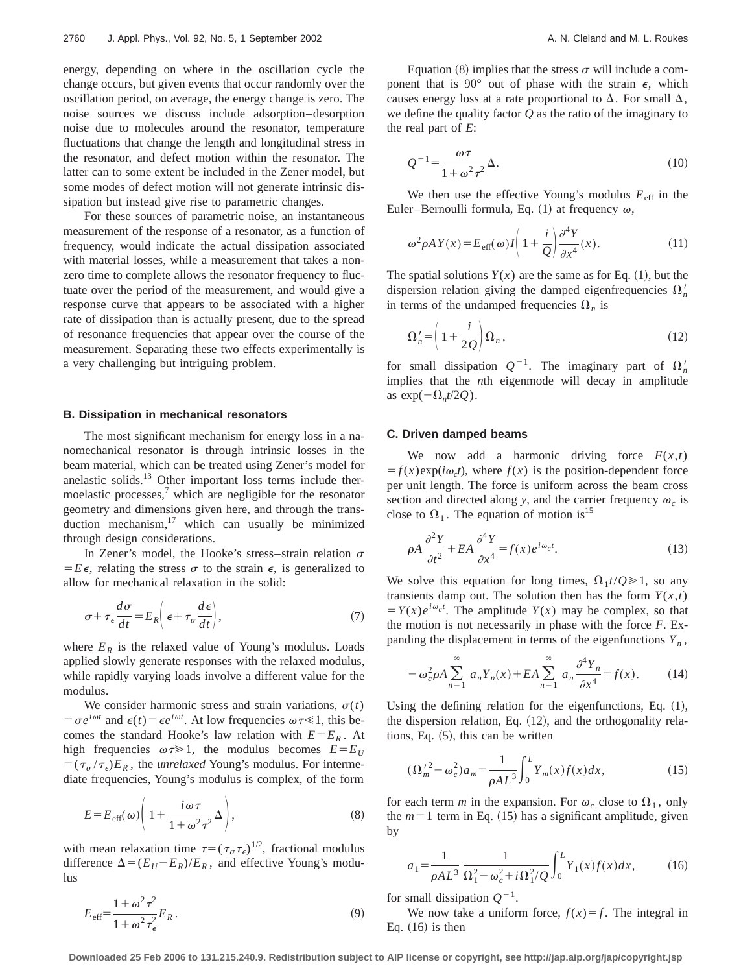energy, depending on where in the oscillation cycle the change occurs, but given events that occur randomly over the oscillation period, on average, the energy change is zero. The noise sources we discuss include adsorption–desorption noise due to molecules around the resonator, temperature fluctuations that change the length and longitudinal stress in the resonator, and defect motion within the resonator. The latter can to some extent be included in the Zener model, but some modes of defect motion will not generate intrinsic dissipation but instead give rise to parametric changes.

For these sources of parametric noise, an instantaneous measurement of the response of a resonator, as a function of frequency, would indicate the actual dissipation associated with material losses, while a measurement that takes a nonzero time to complete allows the resonator frequency to fluctuate over the period of the measurement, and would give a response curve that appears to be associated with a higher rate of dissipation than is actually present, due to the spread of resonance frequencies that appear over the course of the measurement. Separating these two effects experimentally is a very challenging but intriguing problem.

#### **B. Dissipation in mechanical resonators**

The most significant mechanism for energy loss in a nanomechanical resonator is through intrinsic losses in the beam material, which can be treated using Zener's model for anelastic solids.<sup>13</sup> Other important loss terms include thermoelastic processes, $\frac{7}{1}$  which are negligible for the resonator geometry and dimensions given here, and through the transduction mechanism, $17$  which can usually be minimized through design considerations.

In Zener's model, the Hooke's stress–strain relation  $\sigma$  $E\epsilon$ , relating the stress  $\sigma$  to the strain  $\epsilon$ , is generalized to allow for mechanical relaxation in the solid:

$$
\sigma + \tau_{\epsilon} \frac{d\sigma}{dt} = E_R \bigg( \epsilon + \tau_{\sigma} \frac{d\epsilon}{dt} \bigg), \tag{7}
$$

where  $E_R$  is the relaxed value of Young's modulus. Loads applied slowly generate responses with the relaxed modulus, while rapidly varying loads involve a different value for the modulus.

We consider harmonic stress and strain variations,  $\sigma(t)$  $= \sigma e^{i\omega t}$  and  $\epsilon(t) = \epsilon e^{i\omega t}$ . At low frequencies  $\omega \tau \ll 1$ , this becomes the standard Hooke's law relation with  $E = E_R$ . At high frequencies  $\omega \tau \geq 1$ , the modulus becomes  $E = E_U$  $= (\tau_{\alpha}/\tau_{\epsilon})E_R$ , the *unrelaxed* Young's modulus. For intermediate frequencies, Young's modulus is complex, of the form

$$
E = E_{\text{eff}}(\omega) \left( 1 + \frac{i\omega \tau}{1 + \omega^2 \tau^2} \Delta \right),\tag{8}
$$

with mean relaxation time  $\tau=(\tau_\sigma \tau_\epsilon)^{1/2}$ , fractional modulus difference  $\Delta = (E_U - E_R)/E_R$ , and effective Young's modulus

Equation (8) implies that the stress  $\sigma$  will include a component that is 90 $^{\circ}$  out of phase with the strain  $\epsilon$ , which causes energy loss at a rate proportional to  $\Delta$ . For small  $\Delta$ , we define the quality factor *Q* as the ratio of the imaginary to the real part of *E*:

$$
Q^{-1} = \frac{\omega \tau}{1 + \omega^2 \tau^2} \Delta.
$$
 (10)

We then use the effective Young's modulus  $E_{\text{eff}}$  in the Euler–Bernoulli formula, Eq. (1) at frequency  $\omega$ ,

$$
\omega^2 \rho A Y(x) = E_{\text{eff}}(\omega) I \left( 1 + \frac{i}{Q} \right) \frac{\partial^4 Y}{\partial x^4}(x). \tag{11}
$$

The spatial solutions  $Y(x)$  are the same as for Eq. (1), but the dispersion relation giving the damped eigenfrequencies  $\Omega'_n$ in terms of the undamped frequencies  $\Omega_n$  is

$$
\Omega_n' = \left(1 + \frac{i}{2Q}\right) \Omega_n, \tag{12}
$$

for small dissipation  $Q^{-1}$ . The imaginary part of  $\Omega'_n$ implies that the *n*th eigenmode will decay in amplitude as  $\exp(-\Omega_n t/2Q)$ .

#### **C. Driven damped beams**

We now add a harmonic driving force  $F(x,t)$  $f(x) = f(x)exp(i\omega_c t)$ , where  $f(x)$  is the position-dependent force per unit length. The force is uniform across the beam cross section and directed along *y*, and the carrier frequency  $\omega_c$  is close to  $\Omega_1$ . The equation of motion is<sup>15</sup>

$$
\rho A \frac{\partial^2 Y}{\partial t^2} + EA \frac{\partial^4 Y}{\partial x^4} = f(x)e^{i\omega_c t}.
$$
 (13)

We solve this equation for long times,  $\Omega_1 t/Q \ge 1$ , so any transients damp out. The solution then has the form  $Y(x,t)$  $Y(x)e^{i\omega_c t}$ . The amplitude  $Y(x)$  may be complex, so that the motion is not necessarily in phase with the force *F*. Expanding the displacement in terms of the eigenfunctions  $Y_n$ ,

$$
-\omega_c^2 \rho A \sum_{n=1}^{\infty} a_n Y_n(x) + EA \sum_{n=1}^{\infty} a_n \frac{\partial^4 Y_n}{\partial x^4} = f(x). \tag{14}
$$

Using the defining relation for the eigenfunctions, Eq.  $(1)$ , the dispersion relation, Eq.  $(12)$ , and the orthogonality relations, Eq.  $(5)$ , this can be written

$$
(\Omega_m^{'2} - \omega_c^2) a_m = \frac{1}{\rho A L^3} \int_0^L Y_m(x) f(x) dx,
$$
\n(15)

for each term *m* in the expansion. For  $\omega_c$  close to  $\Omega_1$ , only the  $m=1$  term in Eq. (15) has a significant amplitude, given by

$$
a_1 = \frac{1}{\rho A L^3} \frac{1}{\Omega_1^2 - \omega_c^2 + i \Omega_1^2 / Q} \int_0^L Y_1(x) f(x) dx, \tag{16}
$$

for small dissipation  $Q^{-1}$ .

We now take a uniform force,  $f(x) = f$ . The integral in Eq.  $(16)$  is then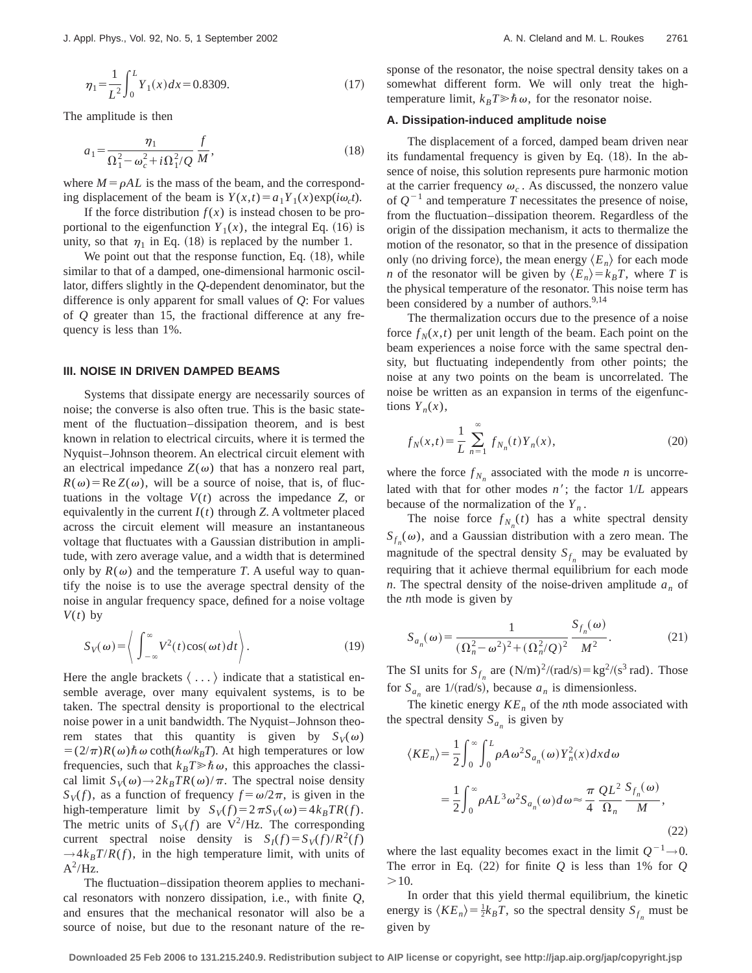$$
\eta_1 = \frac{1}{L^2} \int_0^L Y_1(x) dx = 0.8309. \tag{17}
$$

The amplitude is then

$$
a_1 = \frac{\eta_1}{\Omega_1^2 - \omega_c^2 + i \Omega_1^2 / Q} \frac{f}{M},
$$
\n(18)

where  $M = \rho A L$  is the mass of the beam, and the corresponding displacement of the beam is  $Y(x,t) = a_1 Y_1(x) \exp(i\omega_c t)$ .

If the force distribution  $f(x)$  is instead chosen to be proportional to the eigenfunction  $Y_1(x)$ , the integral Eq. (16) is unity, so that  $\eta_1$  in Eq. (18) is replaced by the number 1.

We point out that the response function, Eq.  $(18)$ , while similar to that of a damped, one-dimensional harmonic oscillator, differs slightly in the *Q*-dependent denominator, but the difference is only apparent for small values of *Q*: For values of *Q* greater than 15, the fractional difference at any frequency is less than 1%.

### **III. NOISE IN DRIVEN DAMPED BEAMS**

Systems that dissipate energy are necessarily sources of noise; the converse is also often true. This is the basic statement of the fluctuation–dissipation theorem, and is best known in relation to electrical circuits, where it is termed the Nyquist–Johnson theorem. An electrical circuit element with an electrical impedance  $Z(\omega)$  that has a nonzero real part,  $R(\omega) = \text{Re } Z(\omega)$ , will be a source of noise, that is, of fluctuations in the voltage  $V(t)$  across the impedance  $Z$ , or equivalently in the current  $I(t)$  through *Z*. A voltmeter placed across the circuit element will measure an instantaneous voltage that fluctuates with a Gaussian distribution in amplitude, with zero average value, and a width that is determined only by  $R(\omega)$  and the temperature *T*. A useful way to quantify the noise is to use the average spectral density of the noise in angular frequency space, defined for a noise voltage  $V(t)$  by

$$
S_V(\omega) = \left\langle \int_{-\infty}^{\infty} V^2(t) \cos(\omega t) dt \right\rangle.
$$
 (19)

Here the angle brackets  $\langle \ldots \rangle$  indicate that a statistical ensemble average, over many equivalent systems, is to be taken. The spectral density is proportional to the electrical noise power in a unit bandwidth. The Nyquist–Johnson theorem states that this quantity is given by  $S_V(\omega)$  $= (2/\pi)R(\omega)\hbar\omega \coth(\hbar\omega/k_BT)$ . At high temperatures or low frequencies, such that  $k_B T \gg \hbar \omega$ , this approaches the classical limit  $S_V(\omega) \rightarrow 2k_BTR(\omega)/\pi$ . The spectral noise density  $S_V(f)$ , as a function of frequency  $f = \omega/2\pi$ , is given in the high-temperature limit by  $S_V(f) = 2 \pi S_V(\omega) = 4k_BTR(f)$ . The metric units of  $S_V(f)$  are  $V^2/Hz$ . The corresponding current spectral noise density is  $S_I(f) = S_V(f)/R^2(f)$  $\rightarrow$  4 $k_B T/R(f)$ , in the high temperature limit, with units of  $A^2/Hz$ .

The fluctuation–dissipation theorem applies to mechanical resonators with nonzero dissipation, i.e., with finite *Q*, and ensures that the mechanical resonator will also be a source of noise, but due to the resonant nature of the response of the resonator, the noise spectral density takes on a somewhat different form. We will only treat the hightemperature limit,  $k_B T \gg \hbar \omega$ , for the resonator noise.

# **A. Dissipation-induced amplitude noise**

The displacement of a forced, damped beam driven near its fundamental frequency is given by Eq.  $(18)$ . In the absence of noise, this solution represents pure harmonic motion at the carrier frequency  $\omega_c$ . As discussed, the nonzero value of  $Q^{-1}$  and temperature *T* necessitates the presence of noise, from the fluctuation–dissipation theorem. Regardless of the origin of the dissipation mechanism, it acts to thermalize the motion of the resonator, so that in the presence of dissipation only (no driving force), the mean energy  $\langle E_n \rangle$  for each mode *n* of the resonator will be given by  $\langle E_n \rangle = k_B T$ , where *T* is the physical temperature of the resonator. This noise term has been considered by a number of authors.<sup>9,14</sup>

The thermalization occurs due to the presence of a noise force  $f_N(x,t)$  per unit length of the beam. Each point on the beam experiences a noise force with the same spectral density, but fluctuating independently from other points; the noise at any two points on the beam is uncorrelated. The noise be written as an expansion in terms of the eigenfunctions  $Y_n(x)$ ,

$$
f_N(x,t) = \frac{1}{L} \sum_{n=1}^{\infty} f_{N_n}(t) Y_n(x),
$$
 (20)

where the force  $f_{N_n}$  associated with the mode *n* is uncorrelated with that for other modes  $n'$ ; the factor  $1/L$  appears because of the normalization of the  $Y_n$ .

The noise force  $f_{N_n}(t)$  has a white spectral density  $S_{f_n}(\omega)$ , and a Gaussian distribution with a zero mean. The magnitude of the spectral density  $S_{f_n}$  may be evaluated by requiring that it achieve thermal equilibrium for each mode *n*. The spectral density of the noise-driven amplitude  $a_n$  of the *n*th mode is given by

$$
S_{a_n}(\omega) = \frac{1}{(\Omega_n^2 - \omega^2)^2 + (\Omega_n^2/Q)^2} \frac{S_{f_n}(\omega)}{M^2}.
$$
 (21)

The SI units for  $S_{f_n}$  are  $(N/m)^2/(rad/s) = \frac{kg^2}{s^3 rad}$ . Those for  $S_{a_n}$  are 1/(rad/s), because  $a_n$  is dimensionless.

The kinetic energy  $KE<sub>n</sub>$  of the *n*th mode associated with the spectral density  $S_{a_n}$  is given by

$$
\langle KE_n \rangle = \frac{1}{2} \int_0^\infty \int_0^L \rho A \omega^2 S_{a_n}(\omega) Y_n^2(x) dx d\omega
$$
  

$$
= \frac{1}{2} \int_0^\infty \rho A L^3 \omega^2 S_{a_n}(\omega) d\omega \approx \frac{\pi}{4} \frac{QL^2}{\Omega_n} \frac{S_{f_n}(\omega)}{M},
$$
(22)

where the last equality becomes exact in the limit  $Q^{-1} \rightarrow 0$ . The error in Eq.  $(22)$  for finite *Q* is less than 1% for *Q*  $>10$ .

In order that this yield thermal equilibrium, the kinetic energy is  $\langle KE_n \rangle = \frac{1}{2}k_B T$ , so the spectral density  $S_{f_n}$  must be given by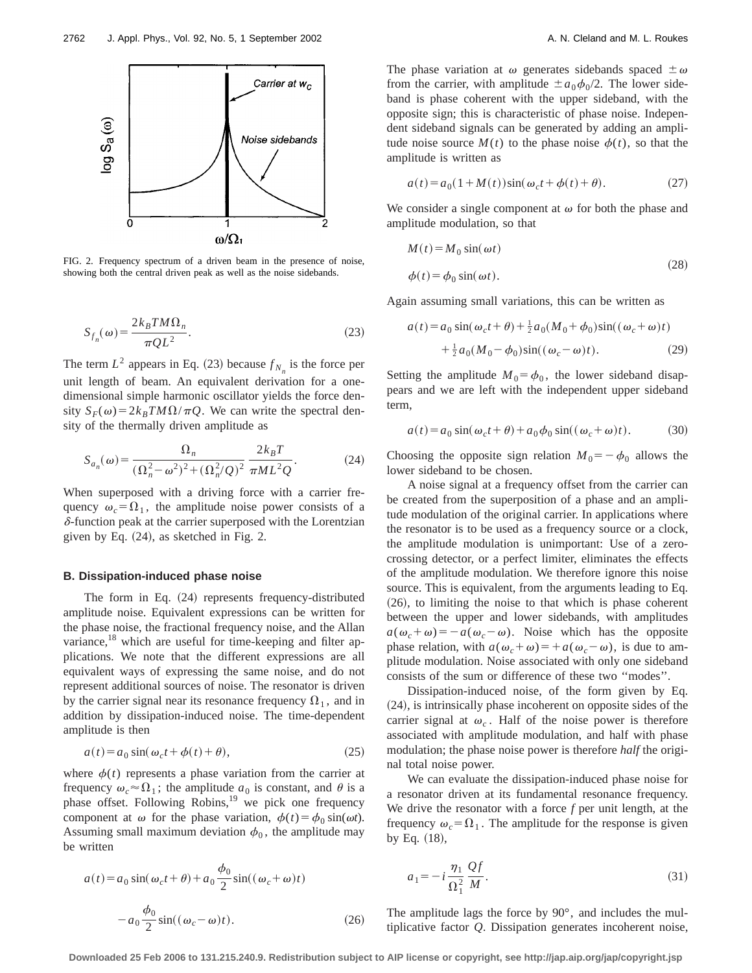

FIG. 2. Frequency spectrum of a driven beam in the presence of noise, showing both the central driven peak as well as the noise sidebands.

$$
S_{f_n}(\omega) = \frac{2k_B T M \Omega_n}{\pi Q L^2}.
$$
\n(23)

The term  $L^2$  appears in Eq. (23) because  $f_{N_a}$  is the force per unit length of beam. An equivalent derivation for a onedimensional simple harmonic oscillator yields the force density  $S_F(\omega) = 2k_B T M \Omega / \pi Q$ . We can write the spectral density of the thermally driven amplitude as

$$
S_{a_n}(\omega) = \frac{\Omega_n}{(\Omega_n^2 - \omega^2)^2 + (\Omega_n^2/Q)^2} \frac{2k_B T}{\pi M L^2 Q}.
$$
 (24)

When superposed with a driving force with a carrier frequency  $\omega_c = \Omega_1$ , the amplitude noise power consists of a  $\delta$ -function peak at the carrier superposed with the Lorentzian given by Eq.  $(24)$ , as sketched in Fig. 2.

#### **B. Dissipation-induced phase noise**

The form in Eq.  $(24)$  represents frequency-distributed amplitude noise. Equivalent expressions can be written for the phase noise, the fractional frequency noise, and the Allan variance,<sup>18</sup> which are useful for time-keeping and filter applications. We note that the different expressions are all equivalent ways of expressing the same noise, and do not represent additional sources of noise. The resonator is driven by the carrier signal near its resonance frequency  $\Omega_1$ , and in addition by dissipation-induced noise. The time-dependent amplitude is then

$$
a(t) = a_0 \sin(\omega_c t + \phi(t) + \theta), \tag{25}
$$

where  $\phi(t)$  represents a phase variation from the carrier at frequency  $\omega_c \approx \Omega_1$ ; the amplitude  $a_0$  is constant, and  $\theta$  is a phase offset. Following Robins,<sup>19</sup> we pick one frequency component at  $\omega$  for the phase variation,  $\phi(t) = \phi_0 \sin(\omega t)$ . Assuming small maximum deviation  $\phi_0$ , the amplitude may be written

The phase variation at  $\omega$  generates sidebands spaced  $\pm \omega$ from the carrier, with amplitude  $\pm a_0\phi_0/2$ . The lower sideband is phase coherent with the upper sideband, with the opposite sign; this is characteristic of phase noise. Independent sideband signals can be generated by adding an amplitude noise source  $M(t)$  to the phase noise  $\phi(t)$ , so that the amplitude is written as

$$
a(t) = a_0(1 + M(t))\sin(\omega_c t + \phi(t) + \theta).
$$
 (27)

We consider a single component at  $\omega$  for both the phase and amplitude modulation, so that

$$
M(t) = M_0 \sin(\omega t)
$$
  
\n
$$
\phi(t) = \phi_0 \sin(\omega t).
$$
\n(28)

Again assuming small variations, this can be written as

$$
a(t) = a_0 \sin(\omega_c t + \theta) + \frac{1}{2} a_0 (M_0 + \phi_0) \sin((\omega_c + \omega)t)
$$
  
+ 
$$
\frac{1}{2} a_0 (M_0 - \phi_0) \sin((\omega_c - \omega)t).
$$
 (29)

Setting the amplitude  $M_0 = \phi_0$ , the lower sideband disappears and we are left with the independent upper sideband term,

$$
a(t) = a_0 \sin(\omega_c t + \theta) + a_0 \phi_0 \sin((\omega_c + \omega)t). \tag{30}
$$

Choosing the opposite sign relation  $M_0 = -\phi_0$  allows the lower sideband to be chosen.

A noise signal at a frequency offset from the carrier can be created from the superposition of a phase and an amplitude modulation of the original carrier. In applications where the resonator is to be used as a frequency source or a clock, the amplitude modulation is unimportant: Use of a zerocrossing detector, or a perfect limiter, eliminates the effects of the amplitude modulation. We therefore ignore this noise source. This is equivalent, from the arguments leading to Eq.  $(26)$ , to limiting the noise to that which is phase coherent between the upper and lower sidebands, with amplitudes  $a(\omega_c + \omega) = -a(\omega_c - \omega)$ . Noise which has the opposite phase relation, with  $a(\omega_c + \omega) = a(\omega_c - \omega)$ , is due to amplitude modulation. Noise associated with only one sideband consists of the sum or difference of these two ''modes''.

Dissipation-induced noise, of the form given by Eq.  $(24)$ , is intrinsically phase incoherent on opposite sides of the carrier signal at  $\omega_c$ . Half of the noise power is therefore associated with amplitude modulation, and half with phase modulation; the phase noise power is therefore *half* the original total noise power.

We can evaluate the dissipation-induced phase noise for a resonator driven at its fundamental resonance frequency. We drive the resonator with a force *f* per unit length, at the frequency  $\omega_c = \Omega_1$ . The amplitude for the response is given by Eq.  $(18)$ ,

$$
a(t) = a_0 \sin(\omega_c t + \theta) + a_0 \frac{\phi_0}{2} \sin((\omega_c + \omega)t)
$$
\n
$$
a_1 = -i \frac{\eta_1}{\Omega_1^2} \frac{Qf}{M}.
$$
\n(31)\n
$$
-a_0 \frac{\phi_0}{2} \sin((\omega_c - \omega)t).
$$
\n(26) The amplitude lags the force by 90°, and includes the multiplicative factor *Q*. Dissipation generates incoherent noise,

The amplitude lags the force by 90°, and includes the multiplicative factor *Q*. Dissipation generates incoherent noise,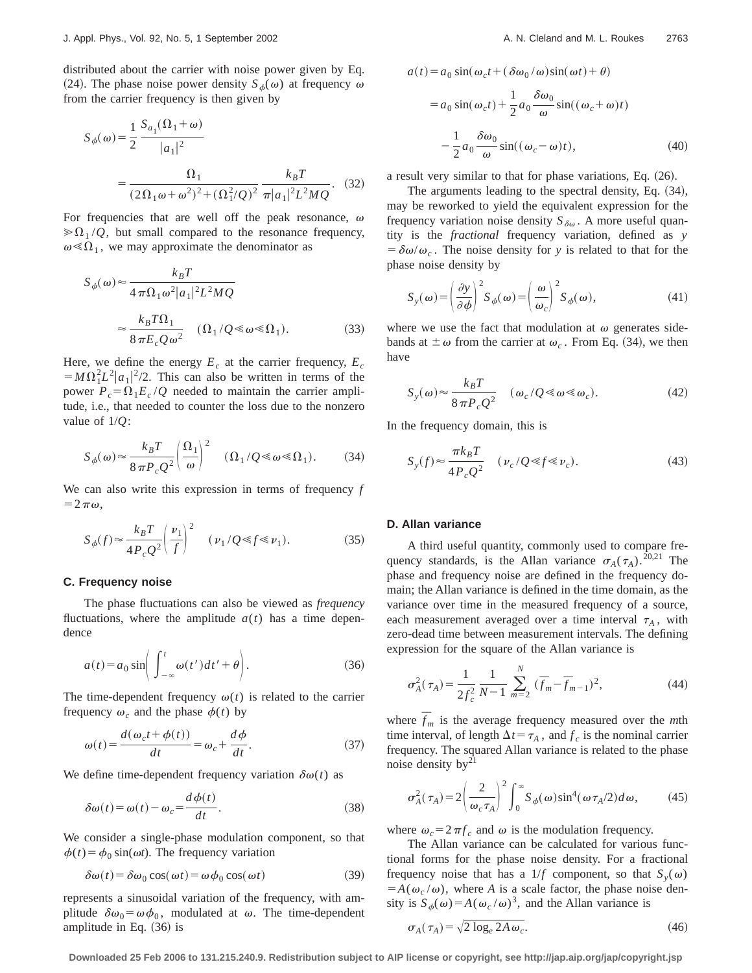distributed about the carrier with noise power given by Eq. (24). The phase noise power density  $S_{\phi}(\omega)$  at frequency  $\omega$ from the carrier frequency is then given by

$$
S_{\phi}(\omega) = \frac{1}{2} \frac{S_{a_1}(\Omega_1 + \omega)}{|a_1|^2}
$$
  
= 
$$
\frac{\Omega_1}{(2\Omega_1 \omega + \omega^2)^2 + (\Omega_1^2/Q)^2} \frac{k_B T}{\pi |a_1|^2 L^2 MQ}.
$$
 (32)

For frequencies that are well off the peak resonance,  $\omega$  $\gg \Omega_1/Q$ , but small compared to the resonance frequency,  $\omega \ll \Omega_1$ , we may approximate the denominator as

$$
S_{\phi}(\omega) \approx \frac{k_B T}{4 \pi \Omega_1 \omega^2 |a_1|^2 L^2 M Q}
$$

$$
\approx \frac{k_B T \Omega_1}{8 \pi E_c Q \omega^2} \quad (\Omega_1 / Q \ll \omega \ll \Omega_1). \tag{33}
$$

Here, we define the energy  $E_c$  at the carrier frequency,  $E_c$  $=M\Omega_1^2L^2|a_1|^2/2$ . This can also be written in terms of the power  $P_c = \Omega_1 E_c / Q$  needed to maintain the carrier amplitude, i.e., that needed to counter the loss due to the nonzero value of 1/*Q*:

$$
S_{\phi}(\omega) \approx \frac{k_B T}{8 \pi P_c Q^2} \left(\frac{\Omega_1}{\omega}\right)^2 \quad (\Omega_1/Q \ll \omega \ll \Omega_1). \tag{34}
$$

We can also write this expression in terms of frequency *f*  $=2\pi\omega,$ 

$$
S_{\phi}(f) \approx \frac{k_B T}{4 P_c Q^2} \left(\frac{\nu_1}{f}\right)^2 \quad (\nu_1/Q \ll f \ll \nu_1). \tag{35}
$$

#### **C. Frequency noise**

The phase fluctuations can also be viewed as *frequency* fluctuations, where the amplitude  $a(t)$  has a time dependence

$$
a(t) = a_0 \sin\left(\int_{-\infty}^t \omega(t')dt' + \theta\right).
$$
 (36)

The time-dependent frequency  $\omega(t)$  is related to the carrier frequency  $\omega_c$  and the phase  $\phi(t)$  by

$$
\omega(t) = \frac{d(\omega_c t + \phi(t))}{dt} = \omega_c + \frac{d\phi}{dt}.
$$
\n(37)

We define time-dependent frequency variation  $\delta\omega(t)$  as

$$
\delta\omega(t) = \omega(t) - \omega_c = \frac{d\phi(t)}{dt}.
$$
\n(38)

We consider a single-phase modulation component, so that  $\phi(t) = \phi_0 \sin(\omega t)$ . The frequency variation

$$
\delta\omega(t) = \delta\omega_0 \cos(\omega t) = \omega \phi_0 \cos(\omega t)
$$
 (39)

represents a sinusoidal variation of the frequency, with amplitude  $\delta\omega_0 = \omega\phi_0$ , modulated at  $\omega$ . The time-dependent amplitude in Eq.  $(36)$  is

$$
a(t) = a_0 \sin(\omega_c t + (\delta \omega_0 / \omega) \sin(\omega t) + \theta)
$$
  
=  $a_0 \sin(\omega_c t) + \frac{1}{2} a_0 \frac{\delta \omega_0}{\omega} \sin((\omega_c + \omega)t)$   

$$
- \frac{1}{2} a_0 \frac{\delta \omega_0}{\omega} \sin((\omega_c - \omega)t), \tag{40}
$$

a result very similar to that for phase variations, Eq.  $(26)$ .

The arguments leading to the spectral density, Eq.  $(34)$ , may be reworked to yield the equivalent expression for the frequency variation noise density  $S_{\delta\omega}$ . A more useful quantity is the *fractional* frequency variation, defined as *y*  $= \delta \omega / \omega_c$ . The noise density for *y* is related to that for the phase noise density by

$$
S_{y}(\omega) = \left(\frac{\partial y}{\partial \phi}\right)^{2} S_{\phi}(\omega) = \left(\frac{\omega}{\omega_{c}}\right)^{2} S_{\phi}(\omega),
$$
\n(41)

where we use the fact that modulation at  $\omega$  generates sidebands at  $\pm \omega$  from the carrier at  $\omega_c$ . From Eq. (34), we then have

$$
S_{y}(\omega) \approx \frac{k_B T}{8 \pi P_c Q^2} \quad (\omega_c / Q \ll \omega \ll \omega_c).
$$
 (42)

In the frequency domain, this is

$$
S_{y}(f) \approx \frac{\pi k_{B}T}{4P_{c}Q^{2}} \quad (\nu_{c}/Q \ll f \ll \nu_{c}). \tag{43}
$$

## **D. Allan variance**

A third useful quantity, commonly used to compare frequency standards, is the Allan variance  $\sigma_A(\tau_A)$ .<sup>20,21</sup> The phase and frequency noise are defined in the frequency domain; the Allan variance is defined in the time domain, as the variance over time in the measured frequency of a source, each measurement averaged over a time interval  $\tau_A$ , with zero-dead time between measurement intervals. The defining expression for the square of the Allan variance is

$$
\sigma_A^2(\tau_A) = \frac{1}{2f_c^2} \frac{1}{N-1} \sum_{m=2}^N (\overline{f}_m - \overline{f}_{m-1})^2, \tag{44}
$$

where  $\bar{f}_m$  is the average frequency measured over the *m*th time interval, of length  $\Delta t = \tau_A$ , and  $f_c$  is the nominal carrier frequency. The squared Allan variance is related to the phase noise density  $by<sup>21</sup>$ 

$$
\sigma_A^2(\tau_A) = 2 \left(\frac{2}{\omega_c \tau_A}\right)^2 \int_0^\infty S_\phi(\omega) \sin^4(\omega \tau_A/2) d\omega, \tag{45}
$$

where  $\omega_c = 2 \pi f_c$  and  $\omega$  is the modulation frequency.

The Allan variance can be calculated for various functional forms for the phase noise density. For a fractional frequency noise that has a 1/*f* component, so that  $S_y(\omega)$  $= A(\omega_c/\omega)$ , where *A* is a scale factor, the phase noise density is  $S_{\phi}(\omega) = A(\omega_c/\omega)^3$ , and the Allan variance is

$$
\sigma_A(\tau_A) = \sqrt{2 \log_e 2A \omega_c}.\tag{46}
$$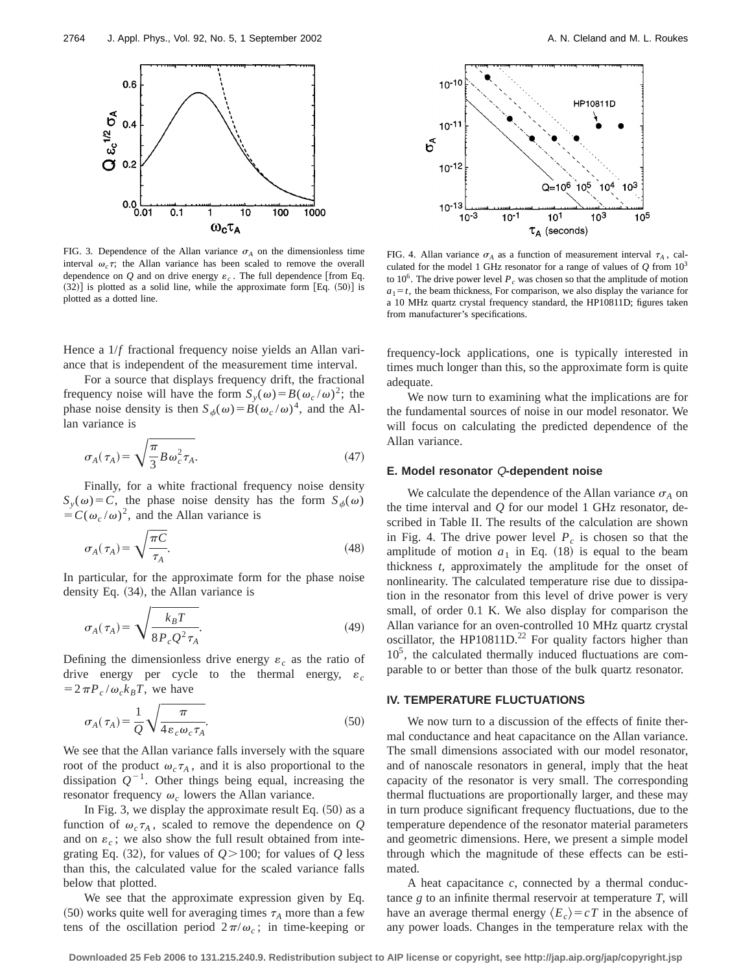

FIG. 3. Dependence of the Allan variance  $\sigma_A$  on the dimensionless time interval  $\omega_c \tau$ ; the Allan variance has been scaled to remove the overall dependence on  $Q$  and on drive energy  $\varepsilon_c$ . The full dependence [from Eq.  $(32)$ ] is plotted as a solid line, while the approximate form [Eq.  $(50)$ ] is plotted as a dotted line.

Hence a  $1/f$  fractional frequency noise yields an Allan variance that is independent of the measurement time interval.

For a source that displays frequency drift, the fractional frequency noise will have the form  $S_y(\omega) = B(\omega_c/\omega)^2$ ; the phase noise density is then  $S_{\phi}(\omega)=B(\omega_c/\omega)^4$ , and the Allan variance is

$$
\sigma_A(\tau_A) = \sqrt{\frac{\pi}{3} B \omega_c^2 \tau_A}.
$$
\n(47)

Finally, for a white fractional frequency noise density  $S_y(\omega) = C$ , the phase noise density has the form  $S_{\phi}(\omega)$  $= C(\omega_c/\omega)^2$ , and the Allan variance is

$$
\sigma_A(\tau_A) = \sqrt{\frac{\pi C}{\tau_A}}.\tag{48}
$$

In particular, for the approximate form for the phase noise density Eq.  $(34)$ , the Allan variance is

$$
\sigma_A(\tau_A) = \sqrt{\frac{k_B T}{8 P_c Q^2 \tau_A}}.\tag{49}
$$

Defining the dimensionless drive energy  $\varepsilon_c$  as the ratio of drive energy per cycle to the thermal energy,  $\varepsilon_c$  $=2\pi P_c/\omega_c k_B T$ , we have

$$
\sigma_A(\tau_A) = \frac{1}{Q} \sqrt{\frac{\pi}{4 \varepsilon_c \omega_c \tau_A}}.
$$
\n(50)

We see that the Allan variance falls inversely with the square root of the product  $\omega_c \tau_A$ , and it is also proportional to the dissipation  $Q^{-1}$ . Other things being equal, increasing the resonator frequency  $\omega_c$  lowers the Allan variance.

In Fig. 3, we display the approximate result Eq.  $(50)$  as a function of  $\omega_c \tau_A$ , scaled to remove the dependence on *Q* and on  $\varepsilon_c$ ; we also show the full result obtained from integrating Eq. (32), for values of  $Q > 100$ ; for values of  $Q$  less than this, the calculated value for the scaled variance falls below that plotted.

We see that the approximate expression given by Eq.  $(50)$  works quite well for averaging times  $\tau_A$  more than a few tens of the oscillation period  $2\pi/\omega_c$ ; in time-keeping or



FIG. 4. Allan variance  $\sigma_A$  as a function of measurement interval  $\tau_A$ , calculated for the model 1 GHz resonator for a range of values of  $Q$  from  $10<sup>3</sup>$ to  $10^6$ . The drive power level  $P_c$  was chosen so that the amplitude of motion  $a_1 = t$ , the beam thickness, For comparison, we also display the variance for a 10 MHz quartz crystal frequency standard, the HP10811D; figures taken from manufacturer's specifications.

frequency-lock applications, one is typically interested in times much longer than this, so the approximate form is quite adequate.

We now turn to examining what the implications are for the fundamental sources of noise in our model resonator. We will focus on calculating the predicted dependence of the Allan variance.

#### **E. Model resonator** Q**-dependent noise**

We calculate the dependence of the Allan variance  $\sigma_A$  on the time interval and *Q* for our model 1 GHz resonator, described in Table II. The results of the calculation are shown in Fig. 4. The drive power level  $P_c$  is chosen so that the amplitude of motion  $a_1$  in Eq.  $(18)$  is equal to the beam thickness *t*, approximately the amplitude for the onset of nonlinearity. The calculated temperature rise due to dissipation in the resonator from this level of drive power is very small, of order 0.1 K. We also display for comparison the Allan variance for an oven-controlled 10 MHz quartz crystal oscillator, the HP10811D.<sup>22</sup> For quality factors higher than  $10<sup>5</sup>$ , the calculated thermally induced fluctuations are comparable to or better than those of the bulk quartz resonator.

#### **IV. TEMPERATURE FLUCTUATIONS**

We now turn to a discussion of the effects of finite thermal conductance and heat capacitance on the Allan variance. The small dimensions associated with our model resonator, and of nanoscale resonators in general, imply that the heat capacity of the resonator is very small. The corresponding thermal fluctuations are proportionally larger, and these may in turn produce significant frequency fluctuations, due to the temperature dependence of the resonator material parameters and geometric dimensions. Here, we present a simple model through which the magnitude of these effects can be estimated.

A heat capacitance *c*, connected by a thermal conductance *g* to an infinite thermal reservoir at temperature *T*, will have an average thermal energy  $\langle E_c \rangle = cT$  in the absence of any power loads. Changes in the temperature relax with the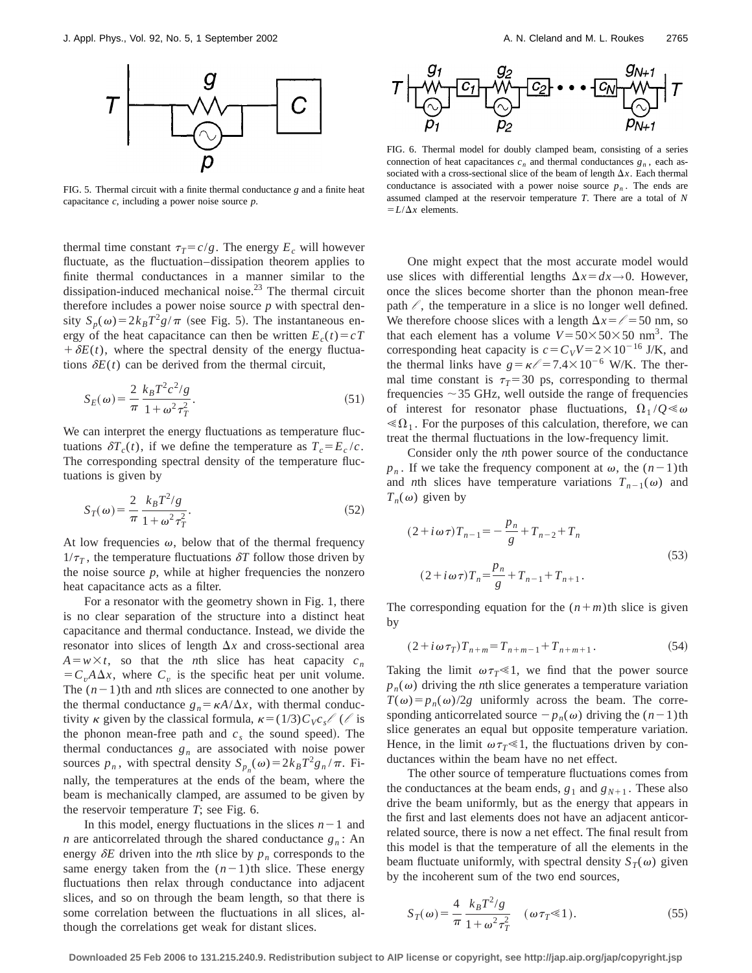

FIG. 5. Thermal circuit with a finite thermal conductance *g* and a finite heat capacitance *c*, including a power noise source *p*.

thermal time constant  $\tau_T = c/g$ . The energy  $E_c$  will however fluctuate, as the fluctuation–dissipation theorem applies to finite thermal conductances in a manner similar to the dissipation-induced mechanical noise.<sup>23</sup> The thermal circuit therefore includes a power noise source  $p$  with spectral density  $S_p(\omega) = 2k_B T^2 g/\pi$  (see Fig. 5). The instantaneous energy of the heat capacitance can then be written  $E_c(t) = cT$  $+\delta E(t)$ , where the spectral density of the energy fluctuations  $\delta E(t)$  can be derived from the thermal circuit,

$$
S_E(\omega) = \frac{2}{\pi} \frac{k_B T^2 c^2 / g}{1 + \omega^2 \tau_T^2}.
$$
\n(51)

We can interpret the energy fluctuations as temperature fluctuations  $\delta T_c(t)$ , if we define the temperature as  $T_c = E_c/c$ . The corresponding spectral density of the temperature fluctuations is given by

$$
S_T(\omega) = \frac{2}{\pi} \frac{k_B T^2 / g}{1 + \omega^2 \tau_T^2}.
$$
 (52)

At low frequencies  $\omega$ , below that of the thermal frequency  $1/\tau_T$ , the temperature fluctuations  $\delta T$  follow those driven by the noise source  $p$ , while at higher frequencies the nonzero heat capacitance acts as a filter.

For a resonator with the geometry shown in Fig. 1, there is no clear separation of the structure into a distinct heat capacitance and thermal conductance. Instead, we divide the resonator into slices of length  $\Delta x$  and cross-sectional area  $A = w \times t$ , so that the *n*th slice has heat capacity  $c_n$  $= C_v A \Delta x$ , where  $C_v$  is the specific heat per unit volume. The  $(n-1)$ th and *n*th slices are connected to one another by the thermal conductance  $g_n = \kappa A/\Delta x$ , with thermal conductivity  $\kappa$  given by the classical formula,  $\kappa = (1/3)C_Vc_s$  ( / is the phonon mean-free path and  $c_s$  the sound speed). The thermal conductances  $g_n$  are associated with noise power sources  $p_n$ , with spectral density  $S_{p_n}(\omega) = 2k_BT^2 g_n / \pi$ . Finally, the temperatures at the ends of the beam, where the beam is mechanically clamped, are assumed to be given by the reservoir temperature *T*; see Fig. 6.

In this model, energy fluctuations in the slices  $n-1$  and *n* are anticorrelated through the shared conductance  $g_n$ : An energy  $\delta E$  driven into the *n*th slice by  $p_n$  corresponds to the same energy taken from the  $(n-1)$ th slice. These energy fluctuations then relax through conductance into adjacent slices, and so on through the beam length, so that there is some correlation between the fluctuations in all slices, although the correlations get weak for distant slices.



FIG. 6. Thermal model for doubly clamped beam, consisting of a series connection of heat capacitances  $c_n$  and thermal conductances  $g_n$ , each associated with a cross-sectional slice of the beam of length  $\Delta x$ . Each thermal conductance is associated with a power noise source  $p_n$ . The ends are assumed clamped at the reservoir temperature *T*. There are a total of *N*  $=L/\Delta x$  elements.

One might expect that the most accurate model would use slices with differential lengths  $\Delta x = dx \rightarrow 0$ . However, once the slices become shorter than the phonon mean-free path  $\ell$ , the temperature in a slice is no longer well defined. We therefore choose slices with a length  $\Delta x = \ell = 50$  nm, so that each element has a volume  $V = 50 \times 50 \times 50$  nm<sup>3</sup>. The corresponding heat capacity is  $c = C_VV = 2 \times 10^{-16}$  J/K, and the thermal links have  $g = \kappa \ell = 7.4 \times 10^{-6}$  W/K. The thermal time constant is  $\tau_T = 30$  ps, corresponding to thermal frequencies  $\sim$  35 GHz, well outside the range of frequencies of interest for resonator phase fluctuations,  $\Omega_1/Q \ll \omega$  $\mathcal{L}_1$ . For the purposes of this calculation, therefore, we can treat the thermal fluctuations in the low-frequency limit.

Consider only the *n*th power source of the conductance  $p_n$ . If we take the frequency component at  $\omega$ , the  $(n-1)$ th and *n*th slices have temperature variations  $T_{n-1}(\omega)$  and  $T_n(\omega)$  given by

$$
(2 + i\omega\tau)T_{n-1} = -\frac{p_n}{g} + T_{n-2} + T_n
$$
  

$$
(2 + i\omega\tau)T_n = \frac{p_n}{g} + T_{n-1} + T_{n+1}.
$$
 (53)

The corresponding equation for the  $(n+m)$ th slice is given by

$$
(2 + i \omega \tau_T) T_{n+m} = T_{n+m-1} + T_{n+m+1}.
$$
 (54)

Taking the limit  $\omega \tau$ <sup> $\ll$ </sup>1, we find that the power source  $p_n(\omega)$  driving the *n*th slice generates a temperature variation  $T(\omega) = p_n(\omega)/2g$  uniformly across the beam. The corresponding anticorrelated source  $-p_n(\omega)$  driving the  $(n-1)$ th slice generates an equal but opposite temperature variation. Hence, in the limit  $\omega \tau$ <sup>*T*</sup> (*n*), the fluctuations driven by conductances within the beam have no net effect.

The other source of temperature fluctuations comes from the conductances at the beam ends,  $g_1$  and  $g_{N+1}$ . These also drive the beam uniformly, but as the energy that appears in the first and last elements does not have an adjacent anticorrelated source, there is now a net effect. The final result from this model is that the temperature of all the elements in the beam fluctuate uniformly, with spectral density  $S_T(\omega)$  given by the incoherent sum of the two end sources,

$$
S_T(\omega) = \frac{4}{\pi} \frac{k_B T^2 / g}{1 + \omega^2 \tau_T^2} \quad (\omega \tau_T \ll 1). \tag{55}
$$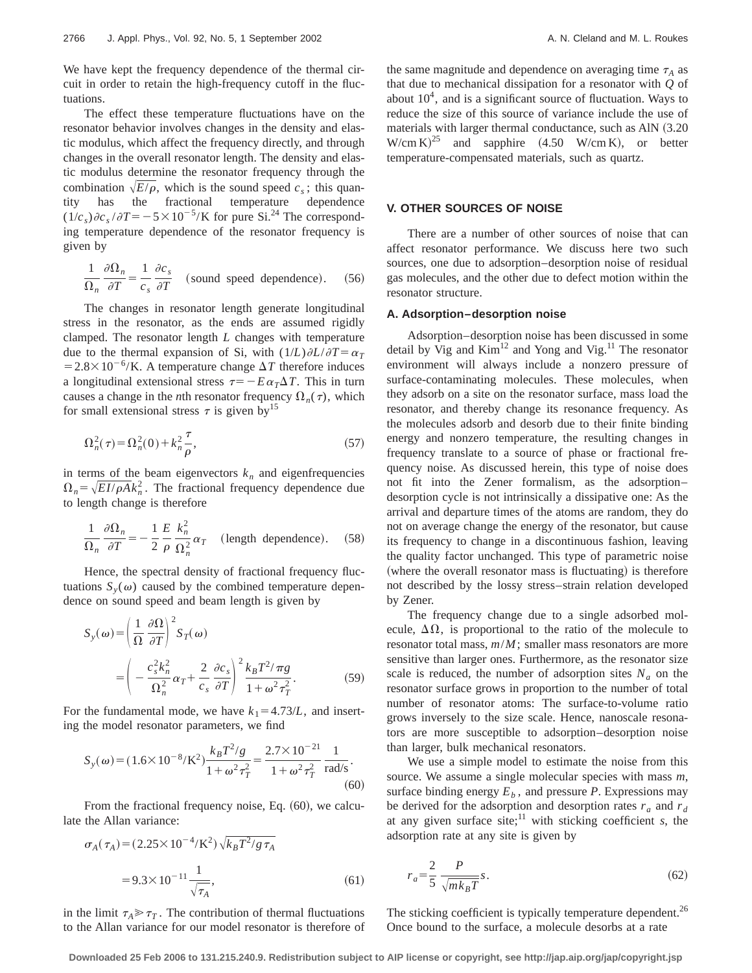We have kept the frequency dependence of the thermal circuit in order to retain the high-frequency cutoff in the fluctuations.

The effect these temperature fluctuations have on the resonator behavior involves changes in the density and elastic modulus, which affect the frequency directly, and through changes in the overall resonator length. The density and elastic modulus determine the resonator frequency through the combination  $\sqrt{E/\rho}$ , which is the sound speed  $c_s$ ; this quantity has the fractional temperature dependence  $(1/c_s)\partial c_s/\partial T = -5 \times 10^{-5}$ /K for pure Si.<sup>24</sup> The corresponding temperature dependence of the resonator frequency is given by

$$
\frac{1}{\Omega_n} \frac{\partial \Omega_n}{\partial T} = \frac{1}{c_s} \frac{\partial c_s}{\partial T}
$$
 (sound speed dependence). (56)

The changes in resonator length generate longitudinal stress in the resonator, as the ends are assumed rigidly clamped. The resonator length *L* changes with temperature due to the thermal expansion of Si, with  $(1/L)\partial L/\partial T = \alpha_T$  $=2.8\times10^{-6}$ /K. A temperature change  $\Delta T$  therefore induces a longitudinal extensional stress  $\tau=-E\alpha_T\Delta T$ . This in turn causes a change in the *n*th resonator frequency  $\Omega_n(\tau)$ , which for small extensional stress  $\tau$  is given by<sup>15</sup>

$$
\Omega_n^2(\tau) = \Omega_n^2(0) + k_n^2 \frac{\tau}{\rho},\tag{57}
$$

in terms of the beam eigenvectors  $k_n$  and eigenfrequencies  $\Omega_n = \sqrt{EI/\rho A} k_n^2$ . The fractional frequency dependence due to length change is therefore

$$
\frac{1}{\Omega_n} \frac{\partial \Omega_n}{\partial T} = -\frac{1}{2} \frac{E}{\rho} \frac{k_n^2}{\Omega_n^2} \alpha_T \quad \text{(length dependence)}.
$$
 (58)

Hence, the spectral density of fractional frequency fluctuations  $S_y(\omega)$  caused by the combined temperature dependence on sound speed and beam length is given by

$$
S_{y}(\omega) = \left(\frac{1}{\Omega} \frac{\partial \Omega}{\partial T}\right)^{2} S_{T}(\omega)
$$
  
= 
$$
\left(-\frac{c_{s}^{2} k_{n}^{2}}{\Omega_{n}^{2}} \alpha_{T} + \frac{2}{c_{s}} \frac{\partial c_{s}}{\partial T}\right)^{2} \frac{k_{B} T^{2} / \pi g}{1 + \omega^{2} \tau_{T}^{2}}.
$$
 (59)

For the fundamental mode, we have  $k_1 = 4.73/L$ , and inserting the model resonator parameters, we find

$$
S_{y}(\omega) = (1.6 \times 10^{-8} / \text{K}^2) \frac{k_B T^2 / g}{1 + \omega^2 \tau_T^2} = \frac{2.7 \times 10^{-21}}{1 + \omega^2 \tau_T^2} \frac{1}{\text{rad/s}}.
$$
\n(60)

From the fractional frequency noise, Eq.  $(60)$ , we calculate the Allan variance:

$$
\sigma_A(\tau_A) = (2.25 \times 10^{-4} / \text{K}^2) \sqrt{k_B T^2 / g \tau_A}
$$
  
= 9.3 × 10<sup>-11</sup>  $\frac{1}{\sqrt{\tau_A}}$ , (61)

in the limit  $\tau_A \gg \tau_T$ . The contribution of thermal fluctuations to the Allan variance for our model resonator is therefore of the same magnitude and dependence on averaging time  $\tau_A$  as that due to mechanical dissipation for a resonator with *Q* of about  $10<sup>4</sup>$ , and is a significant source of fluctuation. Ways to reduce the size of this source of variance include the use of materials with larger thermal conductance, such as AlN  $(3.20)$  $W/cm K$ <sup>25</sup> and sapphire (4.50 W/cm K), or better temperature-compensated materials, such as quartz.

# **V. OTHER SOURCES OF NOISE**

There are a number of other sources of noise that can affect resonator performance. We discuss here two such sources, one due to adsorption–desorption noise of residual gas molecules, and the other due to defect motion within the resonator structure.

#### **A. Adsorption–desorption noise**

Adsorption–desorption noise has been discussed in some detail by Vig and  $Kim<sup>12</sup>$  and Yong and Vig.<sup>11</sup> The resonator environment will always include a nonzero pressure of surface-contaminating molecules. These molecules, when they adsorb on a site on the resonator surface, mass load the resonator, and thereby change its resonance frequency. As the molecules adsorb and desorb due to their finite binding energy and nonzero temperature, the resulting changes in frequency translate to a source of phase or fractional frequency noise. As discussed herein, this type of noise does not fit into the Zener formalism, as the adsorption– desorption cycle is not intrinsically a dissipative one: As the arrival and departure times of the atoms are random, they do not on average change the energy of the resonator, but cause its frequency to change in a discontinuous fashion, leaving the quality factor unchanged. This type of parametric noise (where the overall resonator mass is fluctuating) is therefore not described by the lossy stress–strain relation developed by Zener.

The frequency change due to a single adsorbed molecule,  $\Delta\Omega$ , is proportional to the ratio of the molecule to resonator total mass, *m*/*M*; smaller mass resonators are more sensitive than larger ones. Furthermore, as the resonator size scale is reduced, the number of adsorption sites  $N_a$  on the resonator surface grows in proportion to the number of total number of resonator atoms: The surface-to-volume ratio grows inversely to the size scale. Hence, nanoscale resonators are more susceptible to adsorption–desorption noise than larger, bulk mechanical resonators.

We use a simple model to estimate the noise from this source. We assume a single molecular species with mass *m*, surface binding energy  $E_b$ , and pressure *P*. Expressions may be derived for the adsorption and desorption rates  $r_a$  and  $r_d$ at any given surface site; $\frac{11}{11}$  with sticking coefficient *s*, the adsorption rate at any site is given by

$$
r_a = \frac{2}{5} \frac{P}{\sqrt{mk_B T}} s. \tag{62}
$$

The sticking coefficient is typically temperature dependent.<sup>26</sup> Once bound to the surface, a molecule desorbs at a rate

**Downloaded 25 Feb 2006 to 131.215.240.9. Redistribution subject to AIP license or copyright, see http://jap.aip.org/jap/copyright.jsp**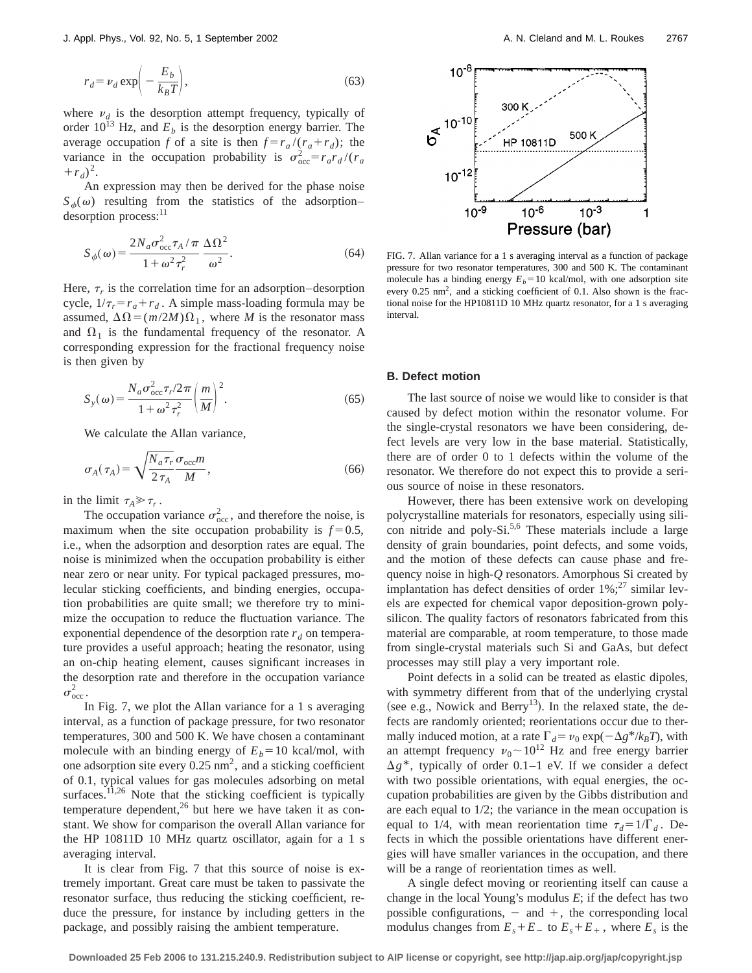$$
r_d = \nu_d \exp\left(-\frac{E_b}{k_B T}\right),\tag{63}
$$

where  $v_d$  is the desorption attempt frequency, typically of order  $10^{13}$  Hz, and  $E<sub>b</sub>$  is the desorption energy barrier. The average occupation *f* of a site is then  $f = r_a / (r_a + r_d)$ ; the variance in the occupation probability is  $\sigma_{\text{occ}}^2 = r_a r_d / (r_a)$  $+r_d$ <sup>2</sup>.

An expression may then be derived for the phase noise  $S_{\phi}(\omega)$  resulting from the statistics of the adsorption– desorption process:<sup>11</sup>

$$
S_{\phi}(\omega) = \frac{2N_a \sigma_{\text{occ}}^2 \tau_A / \pi}{1 + \omega^2 \tau_r^2} \frac{\Delta \Omega^2}{\omega^2}.
$$
 (64)

Here,  $\tau_r$  is the correlation time for an adsorption–desorption cycle,  $1/\tau_r = r_a + r_d$ . A simple mass-loading formula may be assumed,  $\Delta \Omega = (m/2M)\Omega_1$ , where *M* is the resonator mass and  $\Omega_1$  is the fundamental frequency of the resonator. A corresponding expression for the fractional frequency noise is then given by

$$
S_{y}(\omega) = \frac{N_a \sigma_{\text{occ}}^2 \tau_r / 2\pi}{1 + \omega^2 \tau_r^2} \left(\frac{m}{M}\right)^2.
$$
 (65)

We calculate the Allan variance,

$$
\sigma_A(\tau_A) = \sqrt{\frac{N_a \tau_r}{2 \tau_A}} \frac{\sigma_{\text{occ}} m}{M},\tag{66}
$$

in the limit  $\tau_A \gg \tau_r$ .

The occupation variance  $\sigma_{\text{occ}}^2$ , and therefore the noise, is maximum when the site occupation probability is  $f=0.5$ , i.e., when the adsorption and desorption rates are equal. The noise is minimized when the occupation probability is either near zero or near unity. For typical packaged pressures, molecular sticking coefficients, and binding energies, occupation probabilities are quite small; we therefore try to minimize the occupation to reduce the fluctuation variance. The exponential dependence of the desorption rate  $r_d$  on temperature provides a useful approach; heating the resonator, using an on-chip heating element, causes significant increases in the desorption rate and therefore in the occupation variance  $\sigma_{\rm occ}^2$  .

In Fig. 7, we plot the Allan variance for a  $1$  s averaging interval, as a function of package pressure, for two resonator temperatures, 300 and 500 K. We have chosen a contaminant molecule with an binding energy of  $E_b = 10$  kcal/mol, with one adsorption site every  $0.25 \text{ nm}^2$ , and a sticking coefficient of 0.1, typical values for gas molecules adsorbing on metal surfaces.<sup>11,26</sup> Note that the sticking coefficient is typically temperature dependent,<sup>26</sup> but here we have taken it as constant. We show for comparison the overall Allan variance for the HP 10811D 10 MHz quartz oscillator, again for a 1 s averaging interval.

It is clear from Fig. 7 that this source of noise is extremely important. Great care must be taken to passivate the resonator surface, thus reducing the sticking coefficient, reduce the pressure, for instance by including getters in the package, and possibly raising the ambient temperature.



FIG. 7. Allan variance for a 1 s averaging interval as a function of package pressure for two resonator temperatures, 300 and 500 K. The contaminant molecule has a binding energy  $E_b$ =10 kcal/mol, with one adsorption site every  $0.25 \text{ nm}^2$ , and a sticking coefficient of 0.1. Also shown is the fractional noise for the HP10811D 10 MHz quartz resonator, for a 1 s averaging interval.

### **B. Defect motion**

The last source of noise we would like to consider is that caused by defect motion within the resonator volume. For the single-crystal resonators we have been considering, defect levels are very low in the base material. Statistically, there are of order 0 to 1 defects within the volume of the resonator. We therefore do not expect this to provide a serious source of noise in these resonators.

However, there has been extensive work on developing polycrystalline materials for resonators, especially using silicon nitride and poly-Si.<sup>5,6</sup> These materials include a large density of grain boundaries, point defects, and some voids, and the motion of these defects can cause phase and frequency noise in high-*Q* resonators. Amorphous Si created by implantation has defect densities of order  $1\%$ ;<sup>27</sup> similar levels are expected for chemical vapor deposition-grown polysilicon. The quality factors of resonators fabricated from this material are comparable, at room temperature, to those made from single-crystal materials such Si and GaAs, but defect processes may still play a very important role.

Point defects in a solid can be treated as elastic dipoles, with symmetry different from that of the underlying crystal (see e.g., Nowick and Berry<sup>13</sup>). In the relaxed state, the defects are randomly oriented; reorientations occur due to thermally induced motion, at a rate  $\Gamma_d = \nu_0 \exp(-\Delta g^*/k_B T)$ , with an attempt frequency  $v_0 \sim 10^{12}$  Hz and free energy barrier  $\Delta g^*$ , typically of order 0.1–1 eV. If we consider a defect with two possible orientations, with equal energies, the occupation probabilities are given by the Gibbs distribution and are each equal to 1/2; the variance in the mean occupation is equal to 1/4, with mean reorientation time  $\tau_d = 1/\Gamma_d$ . Defects in which the possible orientations have different energies will have smaller variances in the occupation, and there will be a range of reorientation times as well.

A single defect moving or reorienting itself can cause a change in the local Young's modulus *E*; if the defect has two possible configurations,  $-$  and  $+$ , the corresponding local modulus changes from  $E_s + E_{-}$  to  $E_s + E_{+}$ , where  $E_s$  is the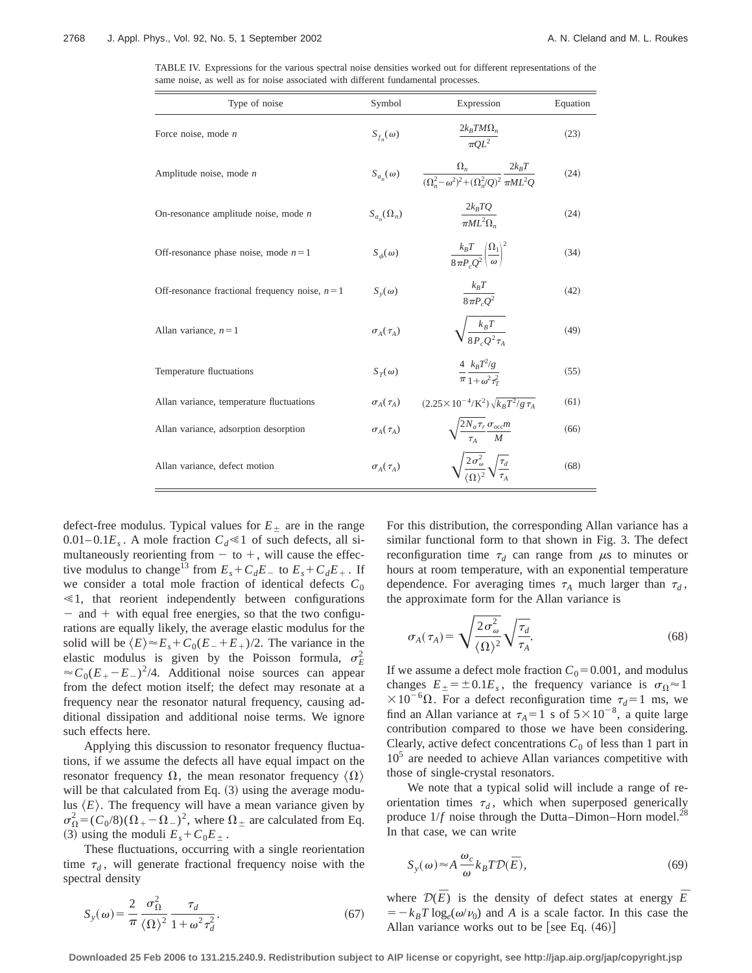TABLE IV. Expressions for the various spectral noise densities worked out for different representations of the same noise, as well as for noise associated with different fundamental processes.

| Type of noise                                     | Symbol              | Expression                                                                               | Equation |
|---------------------------------------------------|---------------------|------------------------------------------------------------------------------------------|----------|
| Force noise, mode $n$                             | $S_{f_n}(\omega)$   | $\frac{2k_B T M \Omega_n}{\pi O L^2}$                                                    | (23)     |
| Amplitude noise, mode $n$                         | $S_{a_n}(\omega)$   | $\frac{\Omega_n}{(\Omega_n^2-\omega^2)^2+(\Omega_n^2/Q)^2}\frac{2k_BT}{\pi ML^2Q}$       | (24)     |
| On-resonance amplitude noise, mode $n$            | $S_{a_n}(\Omega_n)$ | $\frac{2k_B TQ}{\pi M L^2 \Omega_n}$                                                     | (24)     |
| Off-resonance phase noise, mode $n = 1$           | $S_{\phi}(\omega)$  | $\frac{k_B T}{8 \pi P_c O^2} \left(\frac{\Omega_1}{\omega}\right)^2$                     | (34)     |
| Off-resonance fractional frequency noise, $n = 1$ | $S_{v}(\omega)$     | $\frac{k_B T}{8 \pi P_c Q^2}$                                                            | (42)     |
| Allan variance, $n = 1$                           | $\sigma_A(\tau_A)$  | $\sqrt{\frac{k_B T}{8R Q^2 \tau}}$                                                       | (49)     |
| Temperature fluctuations                          | $S_T(\omega)$       | $\frac{4}{\pi} \frac{k_B T^2/g}{1 + \omega^2 \tau_T^2}$                                  | (55)     |
| Allan variance, temperature fluctuations          | $\sigma_A(\tau_A)$  | $(2.25 \times 10^{-4} / \text{K}^2) \sqrt{k_B T^2 / g \tau_A}$                           | (61)     |
| Allan variance, adsorption desorption             | $\sigma_A(\tau_A)$  | $\sqrt{\frac{2N_a\tau_r}{\tau_r}\frac{\sigma_{\text{occ}}m}{M}}$                         | (66)     |
| Allan variance, defect motion                     | $\sigma_4(\tau_4)$  | $\sqrt{\frac{2\sigma_{\omega}^2}{\prime \Omega \lambda^2}} \sqrt{\frac{\tau_d}{\tau_A}}$ | (68)     |

defect-free modulus. Typical values for  $E_{\pm}$  are in the range  $0.01-0.1E_s$ . A mole fraction  $C_d \ll 1$  of such defects, all simultaneously reorienting from  $-$  to  $+$ , will cause the effective modulus to change<sup>13</sup> from  $E_s + C_dE_a$  to  $E_s + C_dE_+$ . If we consider a total mole fraction of identical defects  $C_0$  $\leq 1$ , that reorient independently between configurations  $-$  and  $+$  with equal free energies, so that the two configurations are equally likely, the average elastic modulus for the solid will be  $\langle E \rangle \approx E_s + C_0(E_{-}+E_{+})/2$ . The variance in the elastic modulus is given by the Poisson formula,  $\sigma_E^2$  $\approx C_0(E_{+}-E_{-})^2/4$ . Additional noise sources can appear from the defect motion itself; the defect may resonate at a frequency near the resonator natural frequency, causing additional dissipation and additional noise terms. We ignore such effects here.

Applying this discussion to resonator frequency fluctuations, if we assume the defects all have equal impact on the resonator frequency  $\Omega$ , the mean resonator frequency  $\langle \Omega \rangle$ will be that calculated from Eq.  $(3)$  using the average modulus  $\langle E \rangle$ . The frequency will have a mean variance given by  $\sigma_{\Omega}^2 = (C_0/8)(\Omega_+ - \Omega_-)^2$ , where  $\Omega_{\pm}$  are calculated from Eq. (3) using the moduli  $E_s + C_0 E_+$ .

These fluctuations, occurring with a single reorientation time  $\tau_d$ , will generate fractional frequency noise with the spectral density

$$
S_{y}(\omega) = \frac{2}{\pi} \frac{\sigma_{\Omega}^{2}}{\langle \Omega \rangle^{2}} \frac{\tau_{d}}{1 + \omega^{2} \tau_{d}^{2}}.
$$
 (67)

For this distribution, the corresponding Allan variance has a similar functional form to that shown in Fig. 3. The defect reconfiguration time  $\tau_d$  can range from  $\mu$ s to minutes or hours at room temperature, with an exponential temperature dependence. For averaging times  $\tau_A$  much larger than  $\tau_d$ , the approximate form for the Allan variance is

$$
\sigma_A(\tau_A) = \sqrt{\frac{2\sigma_\omega^2}{\langle \Omega \rangle^2}} \sqrt{\frac{\tau_d}{\tau_A}}.
$$
\n(68)

If we assume a defect mole fraction  $C_0$ =0.001, and modulus changes  $E_{\pm} = \pm 0.1 E_s$ , the frequency variance is  $\sigma_{\Omega} \approx 1$  $\times 10^{-6} \Omega$ . For a defect reconfiguration time  $\tau_d=1$  ms, we find an Allan variance at  $\tau_A = 1$  s of  $5 \times 10^{-8}$ , a quite large contribution compared to those we have been considering. Clearly, active defect concentrations  $C_0$  of less than 1 part in  $10<sup>5</sup>$  are needed to achieve Allan variances competitive with those of single-crystal resonators.

We note that a typical solid will include a range of reorientation times  $\tau_d$ , which when superposed generically produce  $1/f$  noise through the Dutta–Dimon–Horn model.<sup>28</sup> In that case, we can write

$$
S_{y}(\omega) \approx A \frac{\omega_c}{\omega} k_B T \mathcal{D}(\bar{E}), \qquad (69)
$$

where  $\mathcal{D}(\overline{E})$  is the density of defect states at energy  $\overline{E}$  $= -k_BT \log_e(\omega/\nu_0)$  and *A* is a scale factor. In this case the Allan variance works out to be [see Eq.  $(46)$ ]